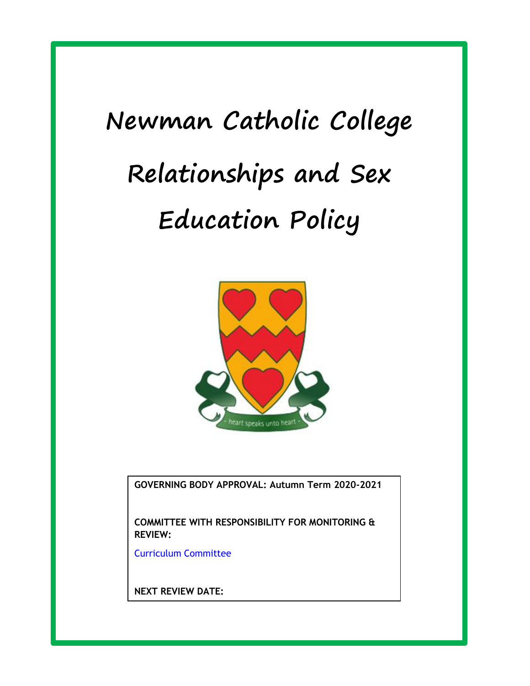# **Newman Catholic College Relationships and Sex Education Policy**



**GOVERNING BODY APPROVAL: Autumn Term 2020-2021**

**COMMITTEE WITH RESPONSIBILITY FOR MONITORING & REVIEW:**

**Definition**

Curriculum Committee

**NEXT REVIEW DATE:**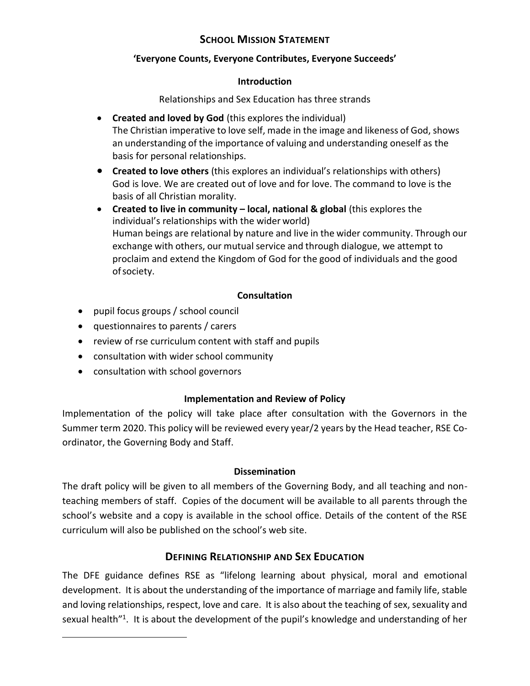# **SCHOOL MISSION STATEMENT**

## **'Everyone Counts, Everyone Contributes, Everyone Succeeds'**

## **Introduction**

Relationships and Sex Education has three strands

- **Created and loved by God** (this explores the individual) The Christian imperative to love self, made in the image and likeness of God, shows an understanding of the importance of valuing and understanding oneself as the basis for personal relationships.
- **Created to love others** (this explores an individual's relationships with others) God is love. We are created out of love and for love. The command to love is the basis of all Christian morality.
- **Created to live in community local, national & global (this explores the** individual's relationships with the wider world) Human beings are relational by nature and live in the wider community. Through our exchange with others, our mutual service and through dialogue, we attempt to proclaim and extend the Kingdom of God for the good of individuals and the good ofsociety.

## **Consultation**

- pupil focus groups / school council
- questionnaires to parents / carers
- review of rse curriculum content with staff and pupils
- consultation with wider school community
- consultation with school governors

 $\overline{\phantom{a}}$ 

## **Implementation and Review of Policy**

Implementation of the policy will take place after consultation with the Governors in the Summer term 2020. This policy will be reviewed every year/2 years by the Head teacher, RSE Coordinator, the Governing Body and Staff.

## **Dissemination**

The draft policy will be given to all members of the Governing Body, and all teaching and nonteaching members of staff. Copies of the document will be available to all parents through the school's website and a copy is available in the school office. Details of the content of the RSE curriculum will also be published on the school's web site.

# **DEFINING RELATIONSHIP AND SEX EDUCATION**

The DFE guidance defines RSE as "lifelong learning about physical, moral and emotional development. It is about the understanding of the importance of marriage and family life, stable and loving relationships, respect, love and care. It is also about the teaching of sex, sexuality and sexual health<sup>"1</sup>. It is about the development of the pupil's knowledge and understanding of her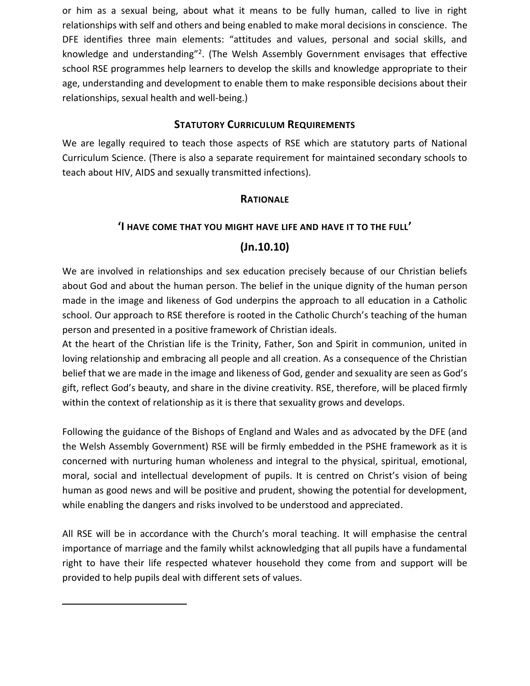or him as a sexual being, about what it means to be fully human, called to live in right relationships with self and others and being enabled to make moral decisions in conscience. The DFE identifies three main elements: "attitudes and values, personal and social skills, and knowledge and understanding"<sup>2</sup>. (The Welsh Assembly Government envisages that effective school RSE programmes help learners to develop the skills and knowledge appropriate to their age, understanding and development to enable them to make responsible decisions about their relationships, sexual health and well-being.)

## **STATUTORY CURRICULUM REQUIREMENTS**

We are legally required to teach those aspects of RSE which are statutory parts of National Curriculum Science. (There is also a separate requirement for maintained secondary schools to teach about HIV, AIDS and sexually transmitted infections).

## **RATIONALE**

## **'I HAVE COME THAT YOU MIGHT HAVE LIFE AND HAVE IT TO THE FULL'**

# **(Jn.10.10)**

We are involved in relationships and sex education precisely because of our Christian beliefs about God and about the human person. The belief in the unique dignity of the human person made in the image and likeness of God underpins the approach to all education in a Catholic school. Our approach to RSE therefore is rooted in the Catholic Church's teaching of the human person and presented in a positive framework of Christian ideals.

At the heart of the Christian life is the Trinity, Father, Son and Spirit in communion, united in loving relationship and embracing all people and all creation. As a consequence of the Christian belief that we are made in the image and likeness of God, gender and sexuality are seen as God's gift, reflect God's beauty, and share in the divine creativity. RSE, therefore, will be placed firmly within the context of relationship as it is there that sexuality grows and develops.

Following the guidance of the Bishops of England and Wales and as advocated by the DFE (and the Welsh Assembly Government) RSE will be firmly embedded in the PSHE framework as it is concerned with nurturing human wholeness and integral to the physical, spiritual, emotional, moral, social and intellectual development of pupils. It is centred on Christ's vision of being human as good news and will be positive and prudent, showing the potential for development, while enabling the dangers and risks involved to be understood and appreciated.

All RSE will be in accordance with the Church's moral teaching. It will emphasise the central importance of marriage and the family whilst acknowledging that all pupils have a fundamental right to have their life respected whatever household they come from and support will be provided to help pupils deal with different sets of values.

 $\overline{\phantom{a}}$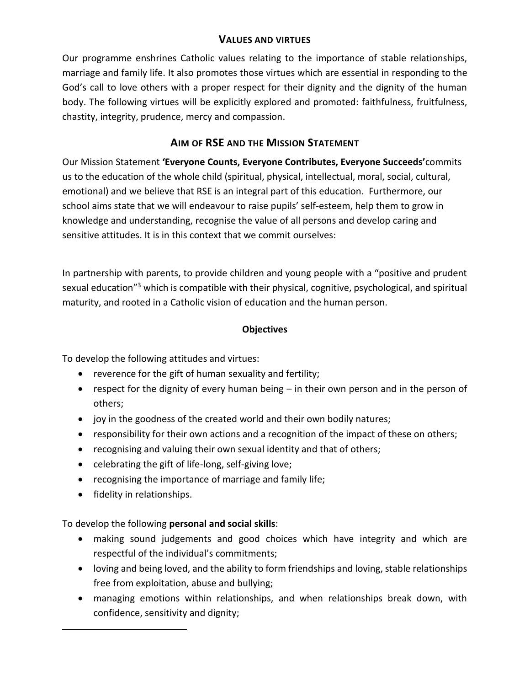## **VALUES AND VIRTUES**

Our programme enshrines Catholic values relating to the importance of stable relationships, marriage and family life. It also promotes those virtues which are essential in responding to the God's call to love others with a proper respect for their dignity and the dignity of the human body. The following virtues will be explicitly explored and promoted: faithfulness, fruitfulness, chastity, integrity, prudence, mercy and compassion.

# **AIM OF RSE AND THE MISSION STATEMENT**

Our Mission Statement **'Everyone Counts, Everyone Contributes, Everyone Succeeds'**commits us to the education of the whole child (spiritual, physical, intellectual, moral, social, cultural, emotional) and we believe that RSE is an integral part of this education. Furthermore, our school aims state that we will endeavour to raise pupils' self-esteem, help them to grow in knowledge and understanding, recognise the value of all persons and develop caring and sensitive attitudes. It is in this context that we commit ourselves:

In partnership with parents, to provide children and young people with a "positive and prudent sexual education"<sup>3</sup> which is compatible with their physical, cognitive, psychological, and spiritual maturity, and rooted in a Catholic vision of education and the human person.

# **Objectives**

To develop the following attitudes and virtues:

- reverence for the gift of human sexuality and fertility;
- respect for the dignity of every human being in their own person and in the person of others;
- joy in the goodness of the created world and their own bodily natures;
- responsibility for their own actions and a recognition of the impact of these on others;
- recognising and valuing their own sexual identity and that of others;
- celebrating the gift of life-long, self-giving love;
- recognising the importance of marriage and family life;
- fidelity in relationships.

 $\overline{\phantom{a}}$ 

To develop the following **personal and social skills**:

- making sound judgements and good choices which have integrity and which are respectful of the individual's commitments;
- loving and being loved, and the ability to form friendships and loving, stable relationships free from exploitation, abuse and bullying;
- managing emotions within relationships, and when relationships break down, with confidence, sensitivity and dignity;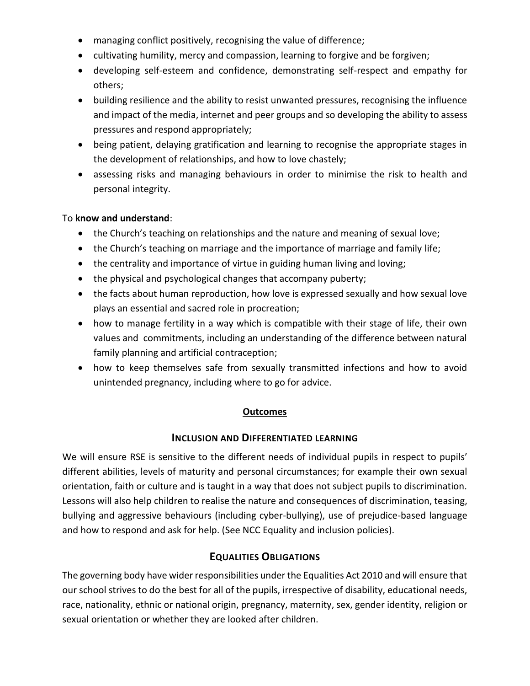- managing conflict positively, recognising the value of difference;
- cultivating humility, mercy and compassion, learning to forgive and be forgiven;
- developing self-esteem and confidence, demonstrating self-respect and empathy for others;
- building resilience and the ability to resist unwanted pressures, recognising the influence and impact of the media, internet and peer groups and so developing the ability to assess pressures and respond appropriately;
- being patient, delaying gratification and learning to recognise the appropriate stages in the development of relationships, and how to love chastely;
- assessing risks and managing behaviours in order to minimise the risk to health and personal integrity.

## To **know and understand**:

- the Church's teaching on relationships and the nature and meaning of sexual love;
- the Church's teaching on marriage and the importance of marriage and family life;
- the centrality and importance of virtue in guiding human living and loving;
- the physical and psychological changes that accompany puberty;
- the facts about human reproduction, how love is expressed sexually and how sexual love plays an essential and sacred role in procreation;
- how to manage fertility in a way which is compatible with their stage of life, their own values and commitments, including an understanding of the difference between natural family planning and artificial contraception;
- how to keep themselves safe from sexually transmitted infections and how to avoid unintended pregnancy, including where to go for advice.

## **Outcomes**

## **INCLUSION AND DIFFERENTIATED LEARNING**

We will ensure RSE is sensitive to the different needs of individual pupils in respect to pupils' different abilities, levels of maturity and personal circumstances; for example their own sexual orientation, faith or culture and is taught in a way that does not subject pupils to discrimination. Lessons will also help children to realise the nature and consequences of discrimination, teasing, bullying and aggressive behaviours (including cyber-bullying), use of prejudice-based language and how to respond and ask for help. (See NCC Equality and inclusion policies).

## **EQUALITIES OBLIGATIONS**

The governing body have wider responsibilities under the Equalities Act 2010 and will ensure that our school strives to do the best for all of the pupils, irrespective of disability, educational needs, race, nationality, ethnic or national origin, pregnancy, maternity, sex, gender identity, religion or sexual orientation or whether they are looked after children.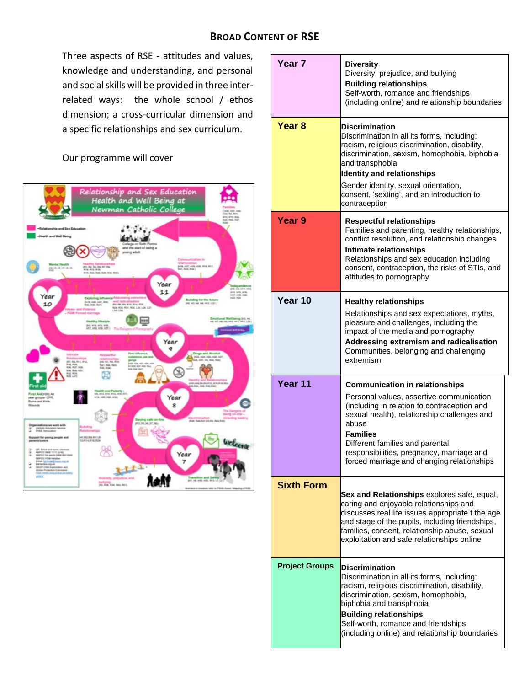Three aspects of RSE - attitudes and values, knowledge and understanding, and personal and social skills will be provided in three interrelated ways: the whole school / ethos dimension; a cross-curricular dimension and a specific relationships and sex curriculum.

# Our programme will cover



| Year 7                | <b>Diversity</b><br>Diversity, prejudice, and bullying<br><b>Building relationships</b><br>Self-worth, romance and friendships<br>(including online) and relationship boundaries                                                                                                                                                          |
|-----------------------|-------------------------------------------------------------------------------------------------------------------------------------------------------------------------------------------------------------------------------------------------------------------------------------------------------------------------------------------|
| Year 8                | <b>Discrimination</b><br>Discrimination in all its forms, including:<br>racism, religious discrimination, disability,<br>discrimination, sexism, homophobia, biphobia<br>and transphobia<br><b>Identity and relationships</b><br>Gender identity, sexual orientation,<br>consent, 'sexting', and an introduction to<br>contraception      |
| Year <sub>9</sub>     | <b>Respectful relationships</b><br>Families and parenting, healthy relationships,<br>conflict resolution, and relationship changes<br>Intimate relationships<br>Relationships and sex education including<br>consent, contraception, the risks of STIs, and<br>attitudes to pornography                                                   |
| Year 10               | <b>Healthy relationships</b><br>Relationships and sex expectations, myths,<br>pleasure and challenges, including the<br>impact of the media and pornography<br>Addressing extremism and radicalisation<br>Communities, belonging and challenging<br>extremism                                                                             |
| Year 11               | <b>Communication in relationships</b><br>Personal values, assertive communication<br>(including in relation to contraception and<br>sexual health), relationship challenges and<br>abuse<br><b>Families</b><br>Different families and parental<br>responsibilities, pregnancy, marriage and<br>forced marriage and changing relationships |
| <b>Sixth Form</b>     | Sex and Relationships explores safe, equal,<br>caring and enjoyable relationships and<br>discusses real life issues appropriate t the age<br>and stage of the pupils, including friendships,<br>families, consent, relationship abuse, sexual<br>exploitation and safe relationships online                                               |
| <b>Project Groups</b> | <b>Discrimination</b><br>Discrimination in all its forms, including:<br>racism, religious discrimination, disability,<br>discrimination, sexism, homophobia,<br>biphobia and transphobia<br><b>Building relationships</b><br>Self-worth, romance and friendships<br>(including online) and relationship boundaries                        |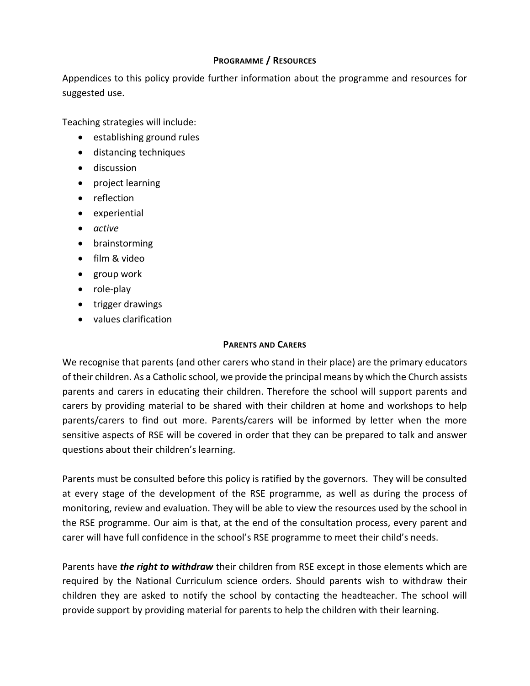## **PROGRAMME / RESOURCES**

Appendices to this policy provide further information about the programme and resources for suggested use.

Teaching strategies will include:

- establishing ground rules
- distancing techniques
- **•** discussion
- project learning
- reflection
- experiential
- *active*
- brainstorming
- film & video
- group work
- role-play
- trigger drawings
- values clarification

## **PARENTS AND CARERS**

We recognise that parents (and other carers who stand in their place) are the primary educators of their children. As a Catholic school, we provide the principal means by which the Church assists parents and carers in educating their children. Therefore the school will support parents and carers by providing material to be shared with their children at home and workshops to help parents/carers to find out more. Parents/carers will be informed by letter when the more sensitive aspects of RSE will be covered in order that they can be prepared to talk and answer questions about their children's learning.

Parents must be consulted before this policy is ratified by the governors. They will be consulted at every stage of the development of the RSE programme, as well as during the process of monitoring, review and evaluation. They will be able to view the resources used by the school in the RSE programme. Our aim is that, at the end of the consultation process, every parent and carer will have full confidence in the school's RSE programme to meet their child's needs.

Parents have *the right to withdraw* their children from RSE except in those elements which are required by the National Curriculum science orders. Should parents wish to withdraw their children they are asked to notify the school by contacting the headteacher. The school will provide support by providing material for parents to help the children with their learning.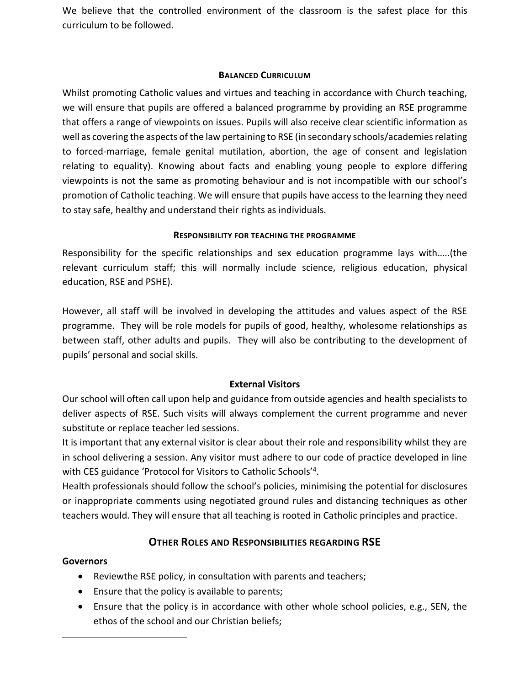We believe that the controlled environment of the classroom is the safest place for this curriculum to be followed.

## **BALANCED CURRICULUM**

Whilst promoting Catholic values and virtues and teaching in accordance with Church teaching, we will ensure that pupils are offered a balanced programme by providing an RSE programme that offers a range of viewpoints on issues. Pupils will also receive clear scientific information as well as covering the aspects of the law pertaining to RSE (in secondary schools/academies relating to forced-marriage, female genital mutilation, abortion, the age of consent and legislation relating to equality). Knowing about facts and enabling young people to explore differing viewpoints is not the same as promoting behaviour and is not incompatible with our school's promotion of Catholic teaching. We will ensure that pupils have access to the learning they need to stay safe, healthy and understand their rights as individuals.

#### **RESPONSIBILITY FOR TEACHING THE PROGRAMME**

Responsibility for the specific relationships and sex education programme lays with…..(the relevant curriculum staff; this will normally include science, religious education, physical education, RSE and PSHE).

However, all staff will be involved in developing the attitudes and values aspect of the RSE programme. They will be role models for pupils of good, healthy, wholesome relationships as between staff, other adults and pupils. They will also be contributing to the development of pupils' personal and social skills.

## **External Visitors**

Our school will often call upon help and guidance from outside agencies and health specialists to deliver aspects of RSE. Such visits will always complement the current programme and never substitute or replace teacher led sessions.

It is important that any external visitor is clear about their role and responsibility whilst they are in school delivering a session. Any visitor must adhere to our code of practice developed in line with CES guidance 'Protocol for Visitors to Catholic Schools'<sup>4</sup> .

Health professionals should follow the school's policies, minimising the potential for disclosures or inappropriate comments using negotiated ground rules and distancing techniques as other teachers would. They will ensure that all teaching is rooted in Catholic principles and practice.

# **OTHER ROLES AND RESPONSIBILITIES REGARDING RSE**

## **Governors**

 $\overline{\phantom{a}}$ 

- Reviewthe RSE policy, in consultation with parents and teachers;
- **Ensure that the policy is available to parents;**
- Ensure that the policy is in accordance with other whole school policies, e.g., SEN, the ethos of the school and our Christian beliefs;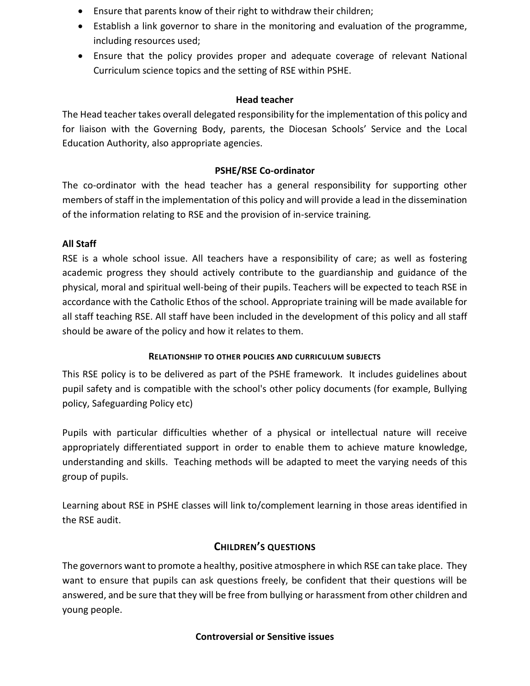- Ensure that parents know of their right to withdraw their children;
- Establish a link governor to share in the monitoring and evaluation of the programme, including resources used;
- Ensure that the policy provides proper and adequate coverage of relevant National Curriculum science topics and the setting of RSE within PSHE.

## **Head teacher**

The Head teacher takes overall delegated responsibility for the implementation of this policy and for liaison with the Governing Body, parents, the Diocesan Schools' Service and the Local Education Authority, also appropriate agencies.

## **PSHE/RSE Co-ordinator**

The co-ordinator with the head teacher has a general responsibility for supporting other members of staff in the implementation of this policy and will provide a lead in the dissemination of the information relating to RSE and the provision of in-service training*.*

## **All Staff**

RSE is a whole school issue. All teachers have a responsibility of care; as well as fostering academic progress they should actively contribute to the guardianship and guidance of the physical, moral and spiritual well-being of their pupils. Teachers will be expected to teach RSE in accordance with the Catholic Ethos of the school. Appropriate training will be made available for all staff teaching RSE. All staff have been included in the development of this policy and all staff should be aware of the policy and how it relates to them.

## **RELATIONSHIP TO OTHER POLICIES AND CURRICULUM SUBJECTS**

This RSE policy is to be delivered as part of the PSHE framework. It includes guidelines about pupil safety and is compatible with the school's other policy documents (for example, Bullying policy, Safeguarding Policy etc)

Pupils with particular difficulties whether of a physical or intellectual nature will receive appropriately differentiated support in order to enable them to achieve mature knowledge, understanding and skills. Teaching methods will be adapted to meet the varying needs of this group of pupils.

Learning about RSE in PSHE classes will link to/complement learning in those areas identified in the RSE audit.

## **CHILDREN'S QUESTIONS**

The governors want to promote a healthy, positive atmosphere in which RSE can take place. They want to ensure that pupils can ask questions freely, be confident that their questions will be answered, and be sure that they will be free from bullying or harassment from other children and young people.

## **Controversial or Sensitive issues**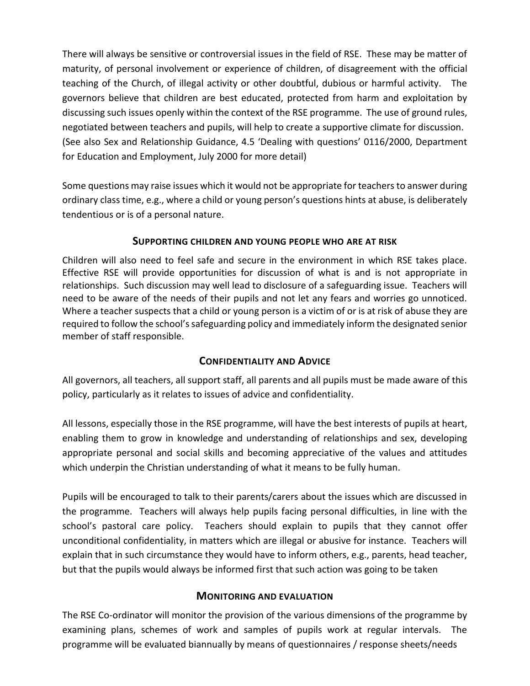There will always be sensitive or controversial issues in the field of RSE. These may be matter of maturity, of personal involvement or experience of children, of disagreement with the official teaching of the Church, of illegal activity or other doubtful, dubious or harmful activity. The governors believe that children are best educated, protected from harm and exploitation by discussing such issues openly within the context of the RSE programme. The use of ground rules, negotiated between teachers and pupils, will help to create a supportive climate for discussion. (See also Sex and Relationship Guidance, 4.5 'Dealing with questions' 0116/2000, Department for Education and Employment, July 2000 for more detail)

Some questions may raise issues which it would not be appropriate for teachers to answer during ordinary class time, e.g., where a child or young person's questions hints at abuse, is deliberately tendentious or is of a personal nature.

## **SUPPORTING CHILDREN AND YOUNG PEOPLE WHO ARE AT RISK**

Children will also need to feel safe and secure in the environment in which RSE takes place. Effective RSE will provide opportunities for discussion of what is and is not appropriate in relationships. Such discussion may well lead to disclosure of a safeguarding issue. Teachers will need to be aware of the needs of their pupils and not let any fears and worries go unnoticed. Where a teacher suspects that a child or young person is a victim of or is at risk of abuse they are required to follow the school's safeguarding policy and immediately inform the designated senior member of staff responsible.

# **CONFIDENTIALITY AND ADVICE**

All governors, all teachers, all support staff, all parents and all pupils must be made aware of this policy, particularly as it relates to issues of advice and confidentiality.

All lessons, especially those in the RSE programme, will have the best interests of pupils at heart, enabling them to grow in knowledge and understanding of relationships and sex, developing appropriate personal and social skills and becoming appreciative of the values and attitudes which underpin the Christian understanding of what it means to be fully human.

Pupils will be encouraged to talk to their parents/carers about the issues which are discussed in the programme. Teachers will always help pupils facing personal difficulties, in line with the school's pastoral care policy. Teachers should explain to pupils that they cannot offer unconditional confidentiality, in matters which are illegal or abusive for instance. Teachers will explain that in such circumstance they would have to inform others, e.g., parents, head teacher, but that the pupils would always be informed first that such action was going to be taken

# **MONITORING AND EVALUATION**

The RSE Co-ordinator will monitor the provision of the various dimensions of the programme by examining plans, schemes of work and samples of pupils work at regular intervals. The programme will be evaluated biannually by means of questionnaires / response sheets/needs